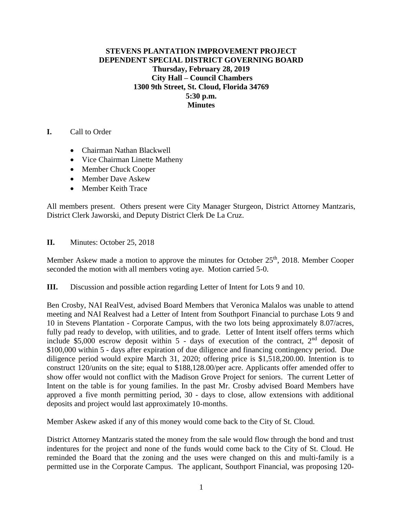## **STEVENS PLANTATION IMPROVEMENT PROJECT DEPENDENT SPECIAL DISTRICT GOVERNING BOARD Thursday, February 28, 2019 City Hall – Council Chambers 1300 9th Street, St. Cloud, Florida 34769 5:30 p.m. Minutes**

- **I.** Call to Order
	- Chairman Nathan Blackwell
	- Vice Chairman Linette Matheny
	- Member Chuck Cooper
	- Member Dave Askew
	- Member Keith Trace

All members present. Others present were City Manager Sturgeon, District Attorney Mantzaris, District Clerk Jaworski, and Deputy District Clerk De La Cruz.

## **II.** Minutes: October 25, 2018

Member Askew made a motion to approve the minutes for October  $25<sup>th</sup>$ , 2018. Member Cooper seconded the motion with all members voting aye. Motion carried 5-0.

**III.** Discussion and possible action regarding Letter of Intent for Lots 9 and 10.

Ben Crosby, NAI RealVest, advised Board Members that Veronica Malalos was unable to attend meeting and NAI Realvest had a Letter of Intent from Southport Financial to purchase Lots 9 and 10 in Stevens Plantation - Corporate Campus, with the two lots being approximately 8.07/acres, fully pad ready to develop, with utilities, and to grade. Letter of Intent itself offers terms which include \$5,000 escrow deposit within  $5$  - days of execution of the contract,  $2<sup>nd</sup>$  deposit of \$100,000 within 5 - days after expiration of due diligence and financing contingency period. Due diligence period would expire March 31, 2020; offering price is \$1,518,200.00. Intention is to construct 120/units on the site; equal to \$188,128.00/per acre. Applicants offer amended offer to show offer would not conflict with the Madison Grove Project for seniors. The current Letter of Intent on the table is for young families. In the past Mr. Crosby advised Board Members have approved a five month permitting period, 30 - days to close, allow extensions with additional deposits and project would last approximately 10-months.

Member Askew asked if any of this money would come back to the City of St. Cloud.

District Attorney Mantzaris stated the money from the sale would flow through the bond and trust indentures for the project and none of the funds would come back to the City of St. Cloud. He reminded the Board that the zoning and the uses were changed on this and multi-family is a permitted use in the Corporate Campus. The applicant, Southport Financial, was proposing 120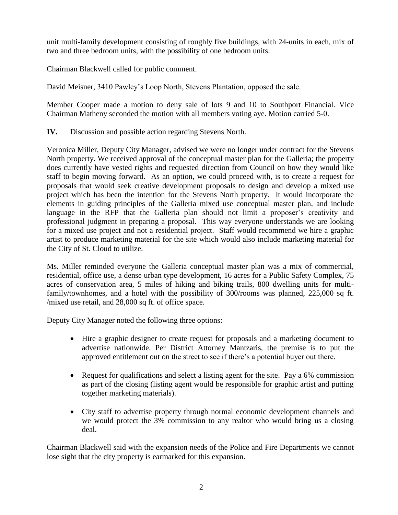unit multi-family development consisting of roughly five buildings, with 24-units in each, mix of two and three bedroom units, with the possibility of one bedroom units.

Chairman Blackwell called for public comment.

David Meisner, 3410 Pawley's Loop North, Stevens Plantation, opposed the sale.

Member Cooper made a motion to deny sale of lots 9 and 10 to Southport Financial. Vice Chairman Matheny seconded the motion with all members voting aye. Motion carried 5-0.

**IV.** Discussion and possible action regarding Stevens North.

Veronica Miller, Deputy City Manager, advised we were no longer under contract for the Stevens North property. We received approval of the conceptual master plan for the Galleria; the property does currently have vested rights and requested direction from Council on how they would like staff to begin moving forward. As an option, we could proceed with, is to create a request for proposals that would seek creative development proposals to design and develop a mixed use project which has been the intention for the Stevens North property. It would incorporate the elements in guiding principles of the Galleria mixed use conceptual master plan, and include language in the RFP that the Galleria plan should not limit a proposer's creativity and professional judgment in preparing a proposal. This way everyone understands we are looking for a mixed use project and not a residential project. Staff would recommend we hire a graphic artist to produce marketing material for the site which would also include marketing material for the City of St. Cloud to utilize.

Ms. Miller reminded everyone the Galleria conceptual master plan was a mix of commercial, residential, office use, a dense urban type development, 16 acres for a Public Safety Complex, 75 acres of conservation area, 5 miles of hiking and biking trails, 800 dwelling units for multifamily/townhomes, and a hotel with the possibility of 300/rooms was planned, 225,000 sq ft. /mixed use retail, and 28,000 sq ft. of office space.

Deputy City Manager noted the following three options:

- Hire a graphic designer to create request for proposals and a marketing document to advertise nationwide. Per District Attorney Mantzaris, the premise is to put the approved entitlement out on the street to see if there's a potential buyer out there.
- Request for qualifications and select a listing agent for the site. Pay a 6% commission as part of the closing (listing agent would be responsible for graphic artist and putting together marketing materials).
- City staff to advertise property through normal economic development channels and we would protect the 3% commission to any realtor who would bring us a closing deal.

Chairman Blackwell said with the expansion needs of the Police and Fire Departments we cannot lose sight that the city property is earmarked for this expansion.